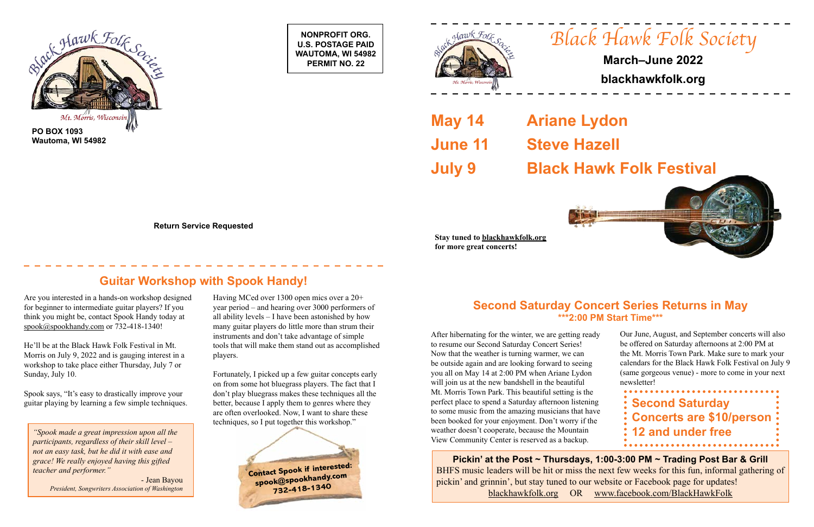**Contact Spook if interested: spook@spookhandy.com 732-418-1340**

**NONPROFIT ORG. U.S. POSTAGE PAID WAUTOMA, WI 54982 PERMIT NO. 22**







**Wautoma, WI 54982**

**Return Service Requested**



# **March–June 2022**

# **blackhawkfolk.org**

**May 14 Ariane Lydon June 11 Steve Hazell**



# **July 9 Black Hawk Folk Festival**



**Stay tuned to blackhawkfolk.org for more great concerts!**

Are you interested in a hands-on workshop designed for beginner to intermediate guitar players? If you think you might be, contact Spook Handy today at [spook@spookhandy.com](mailto:spook%40spookhandy.com?subject=) or 732-418-1340!

He'll be at the Black Hawk Folk Festival in Mt. Morris on July 9, 2022 and is gauging interest in a workshop to take place either Thursday, July 7 or Sunday, July 10.

Spook says, "It's easy to drastically improve your

After hibernating for the winter, we are getting ready to resume our Second Saturday Concert Series! Now that the weather is turning warmer, we can be outside again and are looking forward to seeing you all on May 14 at 2:00 PM when Ariane Lydon will join us at the new bandshell in the beautiful Mt. Morris Town Park. This beautiful setting is the perfect place to spend a Saturday afternoon listening to some music from the amazing musicians that have been booked for your enjoyment. Don't worry if the weather doesn't cooperate, because the Mountain View Community Center is reserved as a backup. guitar playing by learning a few simple techniques. better, because I apply them to genres where they perfect place to spend a Saturday afternoon listening **Second Saturday Concerts are \$10/person 12 and under free** Our June, August, and September concerts will also be offered on Saturday afternoons at 2:00 PM at the Mt. Morris Town Park. Make sure to mark your calendars for the Black Hawk Folk Festival on July 9 (same gorgeous venue) - more to come in your next newsletter!

Having MCed over 1300 open mics over a 20+ year period – and hearing over 3000 performers of all ability levels – I have been astonished by how many guitar players do little more than strum their instruments and don't take advantage of simple tools that will make them stand out as accomplished players.

Fortunately, I picked up a few guitar concepts early on from some hot bluegrass players. The fact that I don't play bluegrass makes these techniques all the better, because I apply them to genres where they are often overlooked. Now, I want to share these techniques, so I put together this workshop."

# **Guitar Workshop with Spook Handy!**

*"Spook made a great impression upon all the participants, regardless of their skill level – not an easy task, but he did it with ease and grace! We really enjoyed having this gifted teacher and performer."*

> - Jean Bayou *President, Songwriters Association of Washington*

## **Second Saturday Concert Series Returns in May \*\*\*2:00 PM Start Time\*\*\***

**Pickin' at the Post ~ Thursdays, 1:00-3:00 PM ~ Trading Post Bar & Grill** BHFS music leaders will be hit or miss the next few weeks for this fun, informal gathering of pickin' and grinnin', but stay tuned to our website or Facebook page for updates! blackhawkfolk.org OR www.facebook.com/BlackHawkFolk